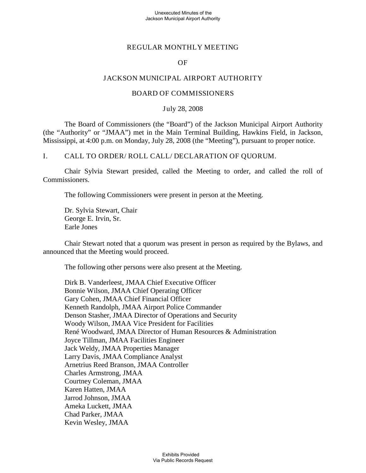### Unexecuted Minutes of the Jackson Municipal Airport Authority

# REGULAR MONTHLY MEETING

# OF

# JACKSON MUNICIPAL AIRPORT AUTHORITY

### BOARD OF COMMISSIONERS

### July 28, 2008

The Board of Commissioners (the "Board") of the Jackson Municipal Airport Authority (the "Authority" or "JMAA") met in the Main Terminal Building, Hawkins Field, in Jackson, Mississippi, at 4:00 p.m. on Monday, July 28, 2008 (the "Meeting"), pursuant to proper notice.

I. CALL TO ORDER/ ROLL CALL/ DECLARATION OF QUORUM.

Chair Sylvia Stewart presided, called the Meeting to order, and called the roll of Commissioners.

The following Commissioners were present in person at the Meeting.

Dr. Sylvia Stewart, Chair George E. Irvin, Sr. Earle Jones

Chair Stewart noted that a quorum was present in person as required by the Bylaws, and announced that the Meeting would proceed.

The following other persons were also present at the Meeting.

Dirk B. Vanderleest, JMAA Chief Executive Officer Bonnie Wilson, JMAA Chief Operating Officer Gary Cohen, JMAA Chief Financial Officer Kenneth Randolph, JMAA Airport Police Commander Denson Stasher, JMAA Director of Operations and Security Woody Wilson, JMAA Vice President for Facilities René Woodward, JMAA Director of Human Resources & Administration Joyce Tillman, JMAA Facilities Engineer Jack Weldy, JMAA Properties Manager Larry Davis, JMAA Compliance Analyst Arnetrius Reed Branson, JMAA Controller Charles Armstrong, JMAA Courtney Coleman, JMAA Karen Hatten, JMAA Jarrod Johnson, JMAA Ameka Luckett, JMAA Chad Parker, JMAA Kevin Wesley, JMAA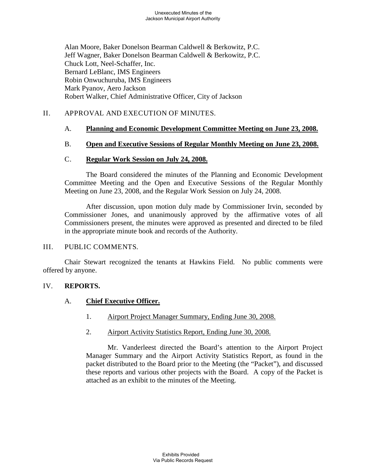Alan Moore, Baker Donelson Bearman Caldwell & Berkowitz, P.C. Jeff Wagner, Baker Donelson Bearman Caldwell & Berkowitz, P.C. Chuck Lott, Neel-Schaffer, Inc. Bernard LeBlanc, IMS Engineers Robin Onwuchuruba, IMS Engineers Mark Pyanov, Aero Jackson Robert Walker, Chief Administrative Officer, City of Jackson

# II. APPROVAL AND EXECUTION OF MINUTES.

#### A. **Planning and Economic Development Committee Meeting on June 23, 2008.**

#### B. **Open and Executive Sessions of Regular Monthly Meeting on June 23, 2008.**

#### $C<sub>1</sub>$ **Regular Work Session on July 24, 2008.**

The Board considered the minutes of the Planning and Economic Development Committee Meeting and the Open and Executive Sessions of the Regular Monthly Meeting on June 23, 2008, and the Regular Work Session on July 24, 2008.

After discussion, upon motion duly made by Commissioner Irvin, seconded by Commissioner Jones, and unanimously approved by the affirmative votes of all Commissioners present, the minutes were approved as presented and directed to be filed in the appropriate minute book and records of the Authority.

### III. PUBLIC COMMENTS.

Chair Stewart recognized the tenants at Hawkins Field. No public comments were offered by anyone.

### IV. **REPORTS.**

#### A. **Chief Executive Officer.**

- 1. Airport Project Manager Summary, Ending June 30, 2008.
- 2. Airport Activity Statistics Report, Ending June 30, 2008.

Mr. Vanderleest directed the Board's attention to the Airport Project Manager Summary and the Airport Activity Statistics Report, as found in the packet distributed to the Board prior to the Meeting (the "Packet"), and discussed these reports and various other projects with the Board. A copy of the Packet is attached as an exhibit to the minutes of the Meeting.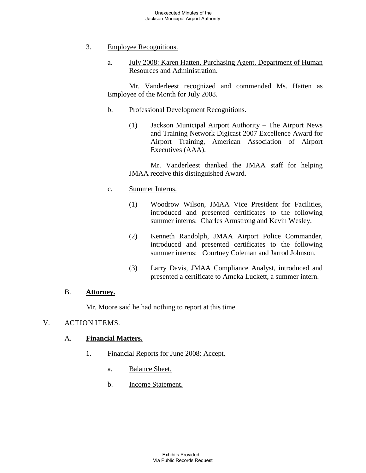- 3. Employee Recognitions.
	- a. July 2008: Karen Hatten, Purchasing Agent, Department of Human Resources and Administration.

Mr. Vanderleest recognized and commended Ms. Hatten as Employee of the Month for July 2008.

- b. Professional Development Recognitions.
	- (1) Jackson Municipal Airport Authority The Airport News and Training Network Digicast 2007 Excellence Award for Airport Training, American Association of Airport Executives (AAA).

Mr. Vanderleest thanked the JMAA staff for helping JMAA receive this distinguished Award.

- c. Summer Interns.
	- (1) Woodrow Wilson, JMAA Vice President for Facilities, introduced and presented certificates to the following summer interns: Charles Armstrong and Kevin Wesley.
	- (2) Kenneth Randolph, JMAA Airport Police Commander, introduced and presented certificates to the following summer interns: Courtney Coleman and Jarrod Johnson.
	- (3) Larry Davis, JMAA Compliance Analyst, introduced and presented a certificate to Ameka Luckett, a summer intern.

#### B. **Attorney.**

Mr. Moore said he had nothing to report at this time.

### V. ACTION ITEMS.

#### A. **Financial Matters.**

- 1. Financial Reports for June 2008: Accept.
	- a. Balance Sheet.
	- b. Income Statement.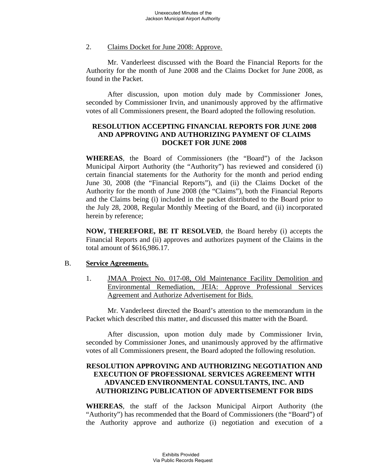#### 2. Claims Docket for June 2008: Approve.

Mr. Vanderleest discussed with the Board the Financial Reports for the Authority for the month of June 2008 and the Claims Docket for June 2008, as found in the Packet.

After discussion, upon motion duly made by Commissioner Jones, seconded by Commissioner Irvin, and unanimously approved by the affirmative votes of all Commissioners present, the Board adopted the following resolution.

# **RESOLUTION ACCEPTING FINANCIAL REPORTS FOR JUNE 2008 AND APPROVING AND AUTHORIZING PAYMENT OF CLAIMS DOCKET FOR JUNE 2008**

**WHEREAS**, the Board of Commissioners (the "Board") of the Jackson Municipal Airport Authority (the "Authority") has reviewed and considered (i) certain financial statements for the Authority for the month and period ending June 30, 2008 (the "Financial Reports"), and (ii) the Claims Docket of the Authority for the month of June 2008 (the "Claims"), both the Financial Reports and the Claims being (i) included in the packet distributed to the Board prior to the July 28, 2008, Regular Monthly Meeting of the Board, and (ii) incorporated herein by reference;

**NOW, THEREFORE, BE IT RESOLVED**, the Board hereby (i) accepts the Financial Reports and (ii) approves and authorizes payment of the Claims in the total amount of \$616,986.17.

#### B. **Service Agreements.**

1. JMAA Project No. 017-08, Old Maintenance Facility Demolition and Environmental Remediation, JEIA: Approve Professional Services Agreement and Authorize Advertisement for Bids.

Mr. Vanderleest directed the Board's attention to the memorandum in the Packet which described this matter, and discussed this matter with the Board.

After discussion, upon motion duly made by Commissioner Irvin, seconded by Commissioner Jones, and unanimously approved by the affirmative votes of all Commissioners present, the Board adopted the following resolution.

# **RESOLUTION APPROVING AND AUTHORIZING NEGOTIATION AND EXECUTION OF PROFESSIONAL SERVICES AGREEMENT WITH ADVANCED ENVIRONMENTAL CONSULTANTS, INC. AND AUTHORIZING PUBLICATION OF ADVERTISEMENT FOR BIDS**

**WHEREAS**, the staff of the Jackson Municipal Airport Authority (the "Authority") has recommended that the Board of Commissioners (the "Board") of the Authority approve and authorize (i) negotiation and execution of a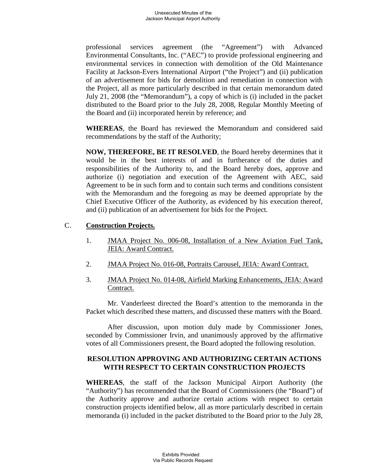professional services agreement (the "Agreement") with Advanced Environmental Consultants, Inc. ("AEC") to provide professional engineering and environmental services in connection with demolition of the Old Maintenance Facility at Jackson-Evers International Airport ("the Project") and (ii) publication of an advertisement for bids for demolition and remediation in connection with the Project, all as more particularly described in that certain memorandum dated July 21, 2008 (the "Memorandum"), a copy of which is (i) included in the packet distributed to the Board prior to the July 28, 2008, Regular Monthly Meeting of the Board and (ii) incorporated herein by reference; and

**WHEREAS**, the Board has reviewed the Memorandum and considered said recommendations by the staff of the Authority;

**NOW, THEREFORE, BE IT RESOLVED**, the Board hereby determines that it would be in the best interests of and in furtherance of the duties and responsibilities of the Authority to, and the Board hereby does, approve and authorize (i) negotiation and execution of the Agreement with AEC, said Agreement to be in such form and to contain such terms and conditions consistent with the Memorandum and the foregoing as may be deemed appropriate by the Chief Executive Officer of the Authority, as evidenced by his execution thereof, and (ii) publication of an advertisement for bids for the Project.

### C. **Construction Projects.**

- 1. JMAA Project No. 006-08, Installation of a New Aviation Fuel Tank, JEIA: Award Contract.
- 2. JMAA Project No. 016-08, Portraits Carousel, JEIA: Award Contract.
- 3. JMAA Project No. 014-08, Airfield Marking Enhancements, JEIA: Award Contract.

Mr. Vanderleest directed the Board's attention to the memoranda in the Packet which described these matters, and discussed these matters with the Board.

After discussion, upon motion duly made by Commissioner Jones, seconded by Commissioner Irvin, and unanimously approved by the affirmative votes of all Commissioners present, the Board adopted the following resolution.

# **RESOLUTION APPROVING AND AUTHORIZING CERTAIN ACTIONS WITH RESPECT TO CERTAIN CONSTRUCTION PROJECTS**

**WHEREAS**, the staff of the Jackson Municipal Airport Authority (the "Authority") has recommended that the Board of Commissioners (the "Board") of the Authority approve and authorize certain actions with respect to certain construction projects identified below, all as more particularly described in certain memoranda (i) included in the packet distributed to the Board prior to the July 28,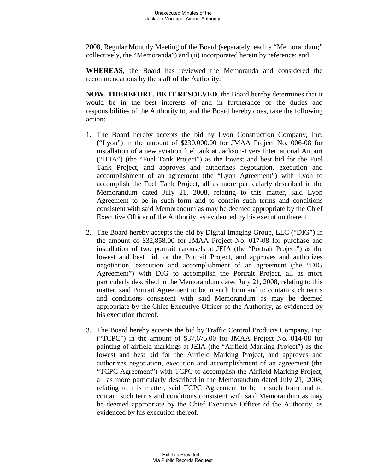2008, Regular Monthly Meeting of the Board (separately, each a "Memorandum;" collectively, the "Memoranda") and (ii) incorporated herein by reference; and

**WHEREAS**, the Board has reviewed the Memoranda and considered the recommendations by the staff of the Authority;

**NOW, THEREFORE, BE IT RESOLVED**, the Board hereby determines that it would be in the best interests of and in furtherance of the duties and responsibilities of the Authority to, and the Board hereby does, take the following action:

- 1. The Board hereby accepts the bid by Lyon Construction Company, Inc. ("Lyon") in the amount of \$230,000.00 for JMAA Project No. 006-08 for installation of a new aviation fuel tank at Jackson-Evers International Airport ("JEIA") (the "Fuel Tank Project") as the lowest and best bid for the Fuel Tank Project, and approves and authorizes negotiation, execution and accomplishment of an agreement (the "Lyon Agreement") with Lyon to accomplish the Fuel Tank Project, all as more particularly described in the Memorandum dated July 21, 2008, relating to this matter, said Lyon Agreement to be in such form and to contain such terms and conditions consistent with said Memorandum as may be deemed appropriate by the Chief Executive Officer of the Authority, as evidenced by his execution thereof.
- 2. The Board hereby accepts the bid by Digital Imaging Group, LLC ("DIG") in the amount of \$32,858.00 for JMAA Project No. 017-08 for purchase and installation of two portrait carousels at JEIA (the "Portrait Project") as the lowest and best bid for the Portrait Project, and approves and authorizes negotiation, execution and accomplishment of an agreement (the "DIG Agreement") with DIG to accomplish the Portrait Project, all as more particularly described in the Memorandum dated July 21, 2008, relating to this matter, said Portrait Agreement to be in such form and to contain such terms and conditions consistent with said Memorandum as may be deemed appropriate by the Chief Executive Officer of the Authority, as evidenced by his execution thereof.
- 3. The Board hereby accepts the bid by Traffic Control Products Company, Inc. ("TCPC") in the amount of \$37,675.00 for JMAA Project No. 014-08 for painting of airfield markings at JEIA (the "Airfield Marking Project") as the lowest and best bid for the Airfield Marking Project, and approves and authorizes negotiation, execution and accomplishment of an agreement (the "TCPC Agreement") with TCPC to accomplish the Airfield Marking Project, all as more particularly described in the Memorandum dated July 21, 2008, relating to this matter, said TCPC Agreement to be in such form and to contain such terms and conditions consistent with said Memorandum as may be deemed appropriate by the Chief Executive Officer of the Authority, as evidenced by his execution thereof.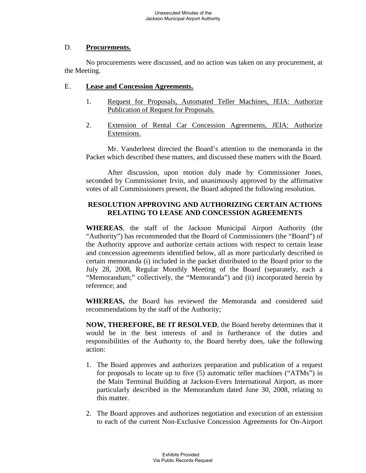### D. **Procurements.**

No procurements were discussed, and no action was taken on any procurement, at the Meeting.

### E. **Lease and Concession Agreements.**

- 1. Request for Proposals, Automated Teller Machines, JEIA: Authorize Publication of Request for Proposals.
- 2. Extension of Rental Car Concession Agreements, JEIA: Authorize Extensions.

Mr. Vanderleest directed the Board's attention to the memoranda in the Packet which described these matters, and discussed these matters with the Board.

After discussion, upon motion duly made by Commissioner Jones, seconded by Commissioner Irvin, and unanimously approved by the affirmative votes of all Commissioners present, the Board adopted the following resolution.

# **RESOLUTION APPROVING AND AUTHORIZING CERTAIN ACTIONS RELATING TO LEASE AND CONCESSION AGREEMENTS**

**WHEREAS**, the staff of the Jackson Municipal Airport Authority (the "Authority") has recommended that the Board of Commissioners (the "Board") of the Authority approve and authorize certain actions with respect to certain lease and concession agreements identified below, all as more particularly described in certain memoranda (i) included in the packet distributed to the Board prior to the July 28, 2008, Regular Monthly Meeting of the Board (separately, each a "Memorandum;" collectively, the "Memoranda") and (ii) incorporated herein by reference; and

**WHEREAS,** the Board has reviewed the Memoranda and considered said recommendations by the staff of the Authority;

**NOW, THEREFORE, BE IT RESOLVED**, the Board hereby determines that it would be in the best interests of and in furtherance of the duties and responsibilities of the Authority to, the Board hereby does, take the following action:

- 1. The Board approves and authorizes preparation and publication of a request for proposals to locate up to five (5) automatic teller machines ("ATMs") in the Main Terminal Building at Jackson-Evers International Airport, as more particularly described in the Memorandum dated June 30, 2008, relating to this matter.
- 2. The Board approves and authorizes negotiation and execution of an extension to each of the current Non-Exclusive Concession Agreements for On-Airport